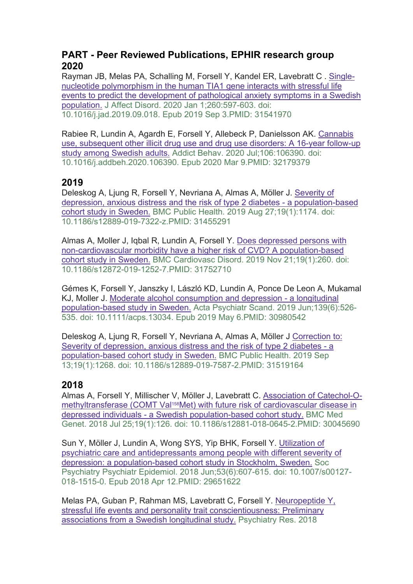## **PART - Peer Reviewed Publications, EPHIR research group 2020**

Rayman JB, Melas PA, Schalling M, Forsell Y, Kandel ER, Lavebratt C . [Single](https://pubmed-ncbi-nlm-nih-gov.proxy.kib.ki.se/31541970/)[nucleotide polymorphism in the human TIA1 gene interacts with stressful life](https://pubmed-ncbi-nlm-nih-gov.proxy.kib.ki.se/31541970/)  [events to predict the development of pathological anxiety symptoms in a Swedish](https://pubmed-ncbi-nlm-nih-gov.proxy.kib.ki.se/31541970/)  [population.](https://pubmed-ncbi-nlm-nih-gov.proxy.kib.ki.se/31541970/) J Affect Disord. 2020 Jan 1;260:597-603. doi: 10.1016/j.jad.2019.09.018. Epub 2019 Sep 3.PMID: 31541970

Rabiee R, Lundin A, Agardh E, Forsell Y, Allebeck P, Danielsson AK. [Cannabis](https://pubmed-ncbi-nlm-nih-gov.proxy.kib.ki.se/32179379/)  [use, subsequent other illicit drug use and drug use disorders: A 16-year follow-up](https://pubmed-ncbi-nlm-nih-gov.proxy.kib.ki.se/32179379/)  [study among Swedish adults.](https://pubmed-ncbi-nlm-nih-gov.proxy.kib.ki.se/32179379/) Addict Behav. 2020 Jul;106:106390. doi: 10.1016/j.addbeh.2020.106390. Epub 2020 Mar 9.PMID: 32179379

# **2019**

Deleskog A, Ljung R, Forsell Y, Nevriana A, Almas A, Möller J. [Severity of](https://pubmed-ncbi-nlm-nih-gov.proxy.kib.ki.se/31455291/)  [depression, anxious distress and the risk of type 2 diabetes -](https://pubmed-ncbi-nlm-nih-gov.proxy.kib.ki.se/31455291/) a population-based [cohort study in Sweden.](https://pubmed-ncbi-nlm-nih-gov.proxy.kib.ki.se/31455291/) BMC Public Health. 2019 Aug 27;19(1):1174. doi: 10.1186/s12889-019-7322-z.PMID: 31455291

Almas A, Moller J, Iqbal R, Lundin A, Forsell Y. [Does depressed persons with](https://pubmed-ncbi-nlm-nih-gov.proxy.kib.ki.se/31752710/)  [non-cardiovascular morbidity have a higher risk of CVD? A population-based](https://pubmed-ncbi-nlm-nih-gov.proxy.kib.ki.se/31752710/)  [cohort study in Sweden.](https://pubmed-ncbi-nlm-nih-gov.proxy.kib.ki.se/31752710/) BMC Cardiovasc Disord. 2019 Nov 21;19(1):260. doi: 10.1186/s12872-019-1252-7.PMID: 31752710

Gémes K, Forsell Y, Janszky I, László KD, Lundin A, Ponce De Leon A, Mukamal KJ, Moller J. [Moderate alcohol consumption and depression -](https://pubmed-ncbi-nlm-nih-gov.proxy.kib.ki.se/30980542/) a longitudinal [population-based study in Sweden.](https://pubmed-ncbi-nlm-nih-gov.proxy.kib.ki.se/30980542/) Acta Psychiatr Scand. 2019 Jun;139(6):526- 535. doi: 10.1111/acps.13034. Epub 2019 May 6.PMID: 30980542

Deleskog A, Ljung R, Forsell Y, Nevriana A, Almas A, Möller J [Correction to:](https://pubmed-ncbi-nlm-nih-gov.proxy.kib.ki.se/31519164/)  [Severity of depression, anxious distress and the risk of type 2 diabetes -](https://pubmed-ncbi-nlm-nih-gov.proxy.kib.ki.se/31519164/) a [population-based cohort study in Sweden.](https://pubmed-ncbi-nlm-nih-gov.proxy.kib.ki.se/31519164/) BMC Public Health. 2019 Sep 13;19(1):1268. doi: 10.1186/s12889-019-7587-2.PMID: 31519164

# **2018**

Almas A, Forsell Y, Millischer V, Möller J, Lavebratt C. [Association of Catechol-O](https://pubmed-ncbi-nlm-nih-gov.proxy.kib.ki.se/30045690/)methyltransferase (COMT Val<sup>158</sup>Met) with future risk of cardiovascular disease in depressed individuals - [a Swedish population-based cohort study.](https://pubmed-ncbi-nlm-nih-gov.proxy.kib.ki.se/30045690/) BMC Med Genet. 2018 Jul 25;19(1):126. doi: 10.1186/s12881-018-0645-2.PMID: 30045690

Sun Y, Möller J, Lundin A, Wong SYS, Yip BHK, Forsell Y. [Utilization of](https://pubmed-ncbi-nlm-nih-gov.proxy.kib.ki.se/29651622/)  [psychiatric care and antidepressants among people with different severity of](https://pubmed-ncbi-nlm-nih-gov.proxy.kib.ki.se/29651622/)  [depression: a population-based cohort study in Stockholm, Sweden.](https://pubmed-ncbi-nlm-nih-gov.proxy.kib.ki.se/29651622/) Soc Psychiatry Psychiatr Epidemiol. 2018 Jun;53(6):607-615. doi: 10.1007/s00127- 018-1515-0. Epub 2018 Apr 12.PMID: 29651622

Melas PA, Guban P, Rahman MS, Lavebratt C, Forsell Y. [Neuropeptide Y,](https://pubmed-ncbi-nlm-nih-gov.proxy.kib.ki.se/29494882/)  [stressful life events and personality trait conscientiousness: Preliminary](https://pubmed-ncbi-nlm-nih-gov.proxy.kib.ki.se/29494882/)  [associations from a Swedish longitudinal study.](https://pubmed-ncbi-nlm-nih-gov.proxy.kib.ki.se/29494882/) Psychiatry Res. 2018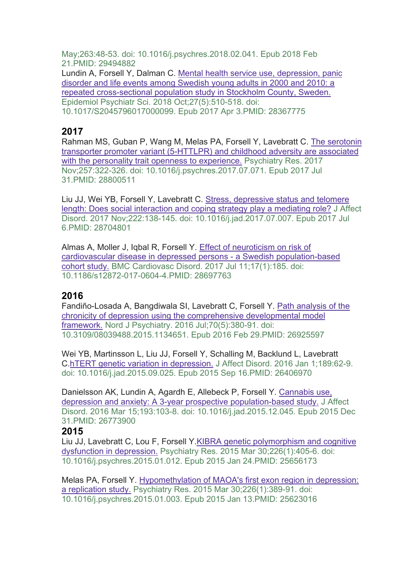May;263:48-53. doi: 10.1016/j.psychres.2018.02.041. Epub 2018 Feb 21.PMID: 29494882 Lundin A, Forsell Y, Dalman C. [Mental health service use, depression, panic](https://pubmed-ncbi-nlm-nih-gov.proxy.kib.ki.se/28367775/)  [disorder and life events among Swedish young adults in 2000 and 2010: a](https://pubmed-ncbi-nlm-nih-gov.proxy.kib.ki.se/28367775/)  [repeated cross-sectional population study in Stockholm County, Sweden.](https://pubmed-ncbi-nlm-nih-gov.proxy.kib.ki.se/28367775/) Epidemiol Psychiatr Sci. 2018 Oct;27(5):510-518. doi: 10.1017/S2045796017000099. Epub 2017 Apr 3.PMID: 28367775

### **2017**

Rahman MS, Guban P, Wang M, Melas PA, Forsell Y, Lavebratt C. [The serotonin](https://pubmed-ncbi-nlm-nih-gov.proxy.kib.ki.se/28800511/)  [transporter promoter variant \(5-HTTLPR\) and childhood adversity are associated](https://pubmed-ncbi-nlm-nih-gov.proxy.kib.ki.se/28800511/)  [with the personality trait openness to experience.](https://pubmed-ncbi-nlm-nih-gov.proxy.kib.ki.se/28800511/) Psychiatry Res. 2017 Nov;257:322-326. doi: 10.1016/j.psychres.2017.07.071. Epub 2017 Jul 31.PMID: 28800511

Liu JJ, Wei YB, Forsell Y, Lavebratt C. [Stress, depressive status and telomere](https://pubmed-ncbi-nlm-nih-gov.proxy.kib.ki.se/28704801/)  length: Does social interaction and [coping strategy play a mediating role?](https://pubmed-ncbi-nlm-nih-gov.proxy.kib.ki.se/28704801/) J Affect Disord. 2017 Nov;222:138-145. doi: 10.1016/j.jad.2017.07.007. Epub 2017 Jul 6.PMID: 28704801

Almas A, Moller J, Iqbal R, Forsell Y. [Effect of neuroticism on risk of](https://pubmed-ncbi-nlm-nih-gov.proxy.kib.ki.se/28697763/)  [cardiovascular disease in depressed persons -](https://pubmed-ncbi-nlm-nih-gov.proxy.kib.ki.se/28697763/) a Swedish population-based [cohort study.](https://pubmed-ncbi-nlm-nih-gov.proxy.kib.ki.se/28697763/) BMC Cardiovasc Disord. 2017 Jul 11;17(1):185. doi: 10.1186/s12872-017-0604-4.PMID: 28697763

## **2016**

Fandiño-Losada A, Bangdiwala SI, Lavebratt C, Forsell Y. [Path analysis of the](https://pubmed-ncbi-nlm-nih-gov.proxy.kib.ki.se/26925597/)  [chronicity of depression using the comprehensive developmental model](https://pubmed-ncbi-nlm-nih-gov.proxy.kib.ki.se/26925597/)  [framework.](https://pubmed-ncbi-nlm-nih-gov.proxy.kib.ki.se/26925597/) Nord J Psychiatry. 2016 Jul;70(5):380-91. doi: 10.3109/08039488.2015.1134651. Epub 2016 Feb 29.PMID: 26925597

Wei YB, Martinsson L, Liu JJ, Forsell Y, Schalling M, Backlund L, Lavebratt C[.hTERT genetic variation in depression.](https://pubmed-ncbi-nlm-nih-gov.proxy.kib.ki.se/26406970/) J Affect Disord. 2016 Jan 1;189:62-9. doi: 10.1016/j.jad.2015.09.025. Epub 2015 Sep 16.PMID: 26406970

Danielsson AK, Lundin A, Agardh E, Allebeck P, Forsell Y. [Cannabis use,](https://pubmed-ncbi-nlm-nih-gov.proxy.kib.ki.se/26773900/)  [depression and anxiety: A 3-year prospective population-based study.](https://pubmed-ncbi-nlm-nih-gov.proxy.kib.ki.se/26773900/) J Affect Disord. 2016 Mar 15;193:103-8. doi: 10.1016/j.jad.2015.12.045. Epub 2015 Dec 31.PMID: 26773900

### **2015**

[Liu JJ, Lavebratt C, Lou F, Forsell Y.KIBRA genetic polymorphism and cognitive](https://pubmed-ncbi-nlm-nih-gov.proxy.kib.ki.se/25656173/)  [dysfunction in depression.](https://pubmed-ncbi-nlm-nih-gov.proxy.kib.ki.se/25656173/) Psychiatry Res. 2015 Mar 30;226(1):405-6. doi: 10.1016/j.psychres.2015.01.012. Epub 2015 Jan 24.PMID: 25656173

Melas PA, Forsell Y. [Hypomethylation of MAOA's first exon region in depression:](https://pubmed-ncbi-nlm-nih-gov.proxy.kib.ki.se/25623016/)  [a replication study.](https://pubmed-ncbi-nlm-nih-gov.proxy.kib.ki.se/25623016/) Psychiatry Res. 2015 Mar 30;226(1):389-91. doi: 10.1016/j.psychres.2015.01.003. Epub 2015 Jan 13.PMID: 25623016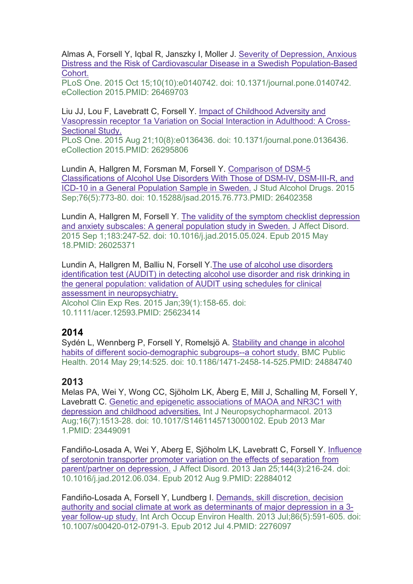Almas A, Forsell Y, Iqbal R, Janszky I, Moller J. [Severity of Depression, Anxious](https://pubmed-ncbi-nlm-nih-gov.proxy.kib.ki.se/26469703/)  [Distress and the Risk of Cardiovascular Disease in a Swedish Population-Based](https://pubmed-ncbi-nlm-nih-gov.proxy.kib.ki.se/26469703/)  [Cohort.](https://pubmed-ncbi-nlm-nih-gov.proxy.kib.ki.se/26469703/)

PLoS One. 2015 Oct 15;10(10):e0140742. doi: 10.1371/journal.pone.0140742. eCollection 2015.PMID: 26469703

Liu JJ, Lou F, Lavebratt C, Forsell Y. [Impact of Childhood Adversity and](https://pubmed-ncbi-nlm-nih-gov.proxy.kib.ki.se/26295806/)  [Vasopressin receptor 1a Variation on Social Interaction in Adulthood: A Cross-](https://pubmed-ncbi-nlm-nih-gov.proxy.kib.ki.se/26295806/)[Sectional Study.](https://pubmed-ncbi-nlm-nih-gov.proxy.kib.ki.se/26295806/)

PLoS One. 2015 Aug 21;10(8):e0136436. doi: 10.1371/journal.pone.0136436. eCollection 2015.PMID: 26295806

Lundin A, Hallgren M, Forsman M, Forsell Y. [Comparison of DSM-5](https://pubmed-ncbi-nlm-nih-gov.proxy.kib.ki.se/26402358/)  [Classifications of Alcohol Use Disorders With Those of DSM-IV, DSM-III-R, and](https://pubmed-ncbi-nlm-nih-gov.proxy.kib.ki.se/26402358/)  [ICD-10 in a General Population Sample in Sweden.](https://pubmed-ncbi-nlm-nih-gov.proxy.kib.ki.se/26402358/) J Stud Alcohol Drugs. 2015 Sep;76(5):773-80. doi: 10.15288/jsad.2015.76.773.PMID: 26402358

Lundin A, Hallgren M, Forsell Y. [The validity of the symptom checklist depression](https://pubmed-ncbi-nlm-nih-gov.proxy.kib.ki.se/26025371/)  [and anxiety subscales: A general population study in Sweden.](https://pubmed-ncbi-nlm-nih-gov.proxy.kib.ki.se/26025371/) J Affect Disord. 2015 Sep 1;183:247-52. doi: 10.1016/j.jad.2015.05.024. Epub 2015 May 18.PMID: 26025371

Lundin A, Hallgren M, Balliu N, Forsell Y.The [use of alcohol use disorders](https://pubmed-ncbi-nlm-nih-gov.proxy.kib.ki.se/25623414/)  [identification test \(AUDIT\) in detecting alcohol use disorder and risk drinking in](https://pubmed-ncbi-nlm-nih-gov.proxy.kib.ki.se/25623414/)  [the general population: validation of AUDIT using schedules for clinical](https://pubmed-ncbi-nlm-nih-gov.proxy.kib.ki.se/25623414/)  [assessment in neuropsychiatry.](https://pubmed-ncbi-nlm-nih-gov.proxy.kib.ki.se/25623414/) Alcohol Clin Exp Res. 2015 Jan;39(1):158-65. doi: 10.1111/acer.12593.PMID: 25623414

### **2014**

Sydén L, Wennberg P, Forsell Y, Romelsjö A. [Stability and change in alcohol](https://pubmed-ncbi-nlm-nih-gov.proxy.kib.ki.se/24884740/)  [habits of different socio-demographic subgroups--a cohort study.](https://pubmed-ncbi-nlm-nih-gov.proxy.kib.ki.se/24884740/) BMC Public Health. 2014 May 29;14:525. doi: 10.1186/1471-2458-14-525.PMID: 24884740

### **2013**

Melas PA, Wei Y, Wong CC, Sjöholm LK, Åberg E, Mill J, Schalling M, Forsell Y, Lavebratt C. [Genetic and epigenetic associations of MAOA and NR3C1 with](https://pubmed-ncbi-nlm-nih-gov.proxy.kib.ki.se/23449091/)  [depression and childhood adversities.](https://pubmed-ncbi-nlm-nih-gov.proxy.kib.ki.se/23449091/) Int J Neuropsychopharmacol. 2013 Aug;16(7):1513-28. doi: 10.1017/S1461145713000102. Epub 2013 Mar 1.PMID: 23449091

Fandiño-Losada A, Wei Y, Aberg E, Sjöholm LK, Lavebratt C, Forsell Y. [Influence](https://pubmed-ncbi-nlm-nih-gov.proxy.kib.ki.se/22884012/)  [of serotonin transporter promoter variation on the effects of separation from](https://pubmed-ncbi-nlm-nih-gov.proxy.kib.ki.se/22884012/)  [parent/partner on depression.](https://pubmed-ncbi-nlm-nih-gov.proxy.kib.ki.se/22884012/) J Affect Disord. 2013 Jan 25;144(3):216-24. doi: 10.1016/j.jad.2012.06.034. Epub 2012 Aug 9.PMID: 22884012

Fandiño-Losada A, Forsell Y, Lundberg I. [Demands, skill discretion, decision](https://pubmed-ncbi-nlm-nih-gov.proxy.kib.ki.se/22760975/)  [authority and social climate at work as determinants of major depression in a 3](https://pubmed-ncbi-nlm-nih-gov.proxy.kib.ki.se/22760975/) [year follow-up study.](https://pubmed-ncbi-nlm-nih-gov.proxy.kib.ki.se/22760975/) Int Arch Occup Environ Health. 2013 Jul;86(5):591-605. doi: 10.1007/s00420-012-0791-3. Epub 2012 Jul 4.PMID: 2276097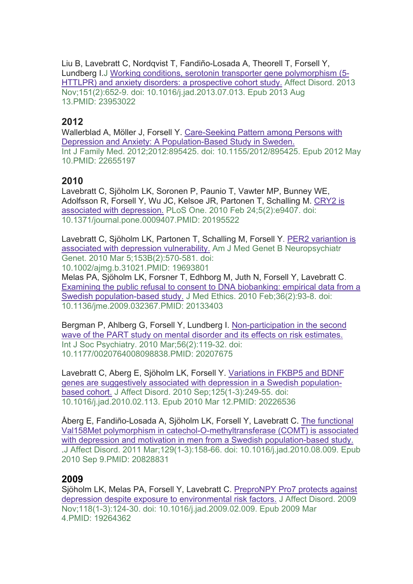Liu B, Lavebratt C, Nordqvist T, Fandiño-Losada A, Theorell T, Forsell Y, Lundberg I.J [Working conditions, serotonin transporter gene polymorphism \(5-](https://pubmed-ncbi-nlm-nih-gov.proxy.kib.ki.se/23953022/) [HTTLPR\) and anxiety disorders: a prospective cohort study.](https://pubmed-ncbi-nlm-nih-gov.proxy.kib.ki.se/23953022/) Affect Disord. 2013 Nov;151(2):652-9. doi: 10.1016/j.jad.2013.07.013. Epub 2013 Aug 13.PMID: 23953022

## **2012**

Wallerblad A, Möller J, Forsell Y. [Care-Seeking Pattern among Persons with](https://pubmed-ncbi-nlm-nih-gov.proxy.kib.ki.se/22655197/)  [Depression and Anxiety: A Population-Based Study in Sweden.](https://pubmed-ncbi-nlm-nih-gov.proxy.kib.ki.se/22655197/) Int J Family Med. 2012;2012:895425. doi: 10.1155/2012/895425. Epub 2012 May 10.PMID: 22655197

# **2010**

Lavebratt C, Sjöholm LK, Soronen P, Paunio T, Vawter MP, Bunney WE, Adolfsson R, Forsell Y, Wu JC, Kelsoe JR, Partonen T, Schalling M. [CRY2 is](https://pubmed-ncbi-nlm-nih-gov.proxy.kib.ki.se/20195522/)  [associated with depression.](https://pubmed-ncbi-nlm-nih-gov.proxy.kib.ki.se/20195522/) PLoS One. 2010 Feb 24;5(2):e9407. doi: 10.1371/journal.pone.0009407.PMID: 20195522

Lavebratt C, Sjöholm LK, Partonen T, Schalling M, Forsell Y. [PER2 variantion is](https://pubmed-ncbi-nlm-nih-gov.proxy.kib.ki.se/19693801/)  [associated with depression vulnerability.](https://pubmed-ncbi-nlm-nih-gov.proxy.kib.ki.se/19693801/) Am J Med Genet B Neuropsychiatr Genet. 2010 Mar 5;153B(2):570-581. doi:

10.1002/ajmg.b.31021.PMID: 19693801 Melas PA, Sjöholm LK, Forsner T, Edhborg M, Juth N, Forsell Y, Lavebratt C. [Examining the public refusal to consent to DNA biobanking: empirical data from a](https://pubmed-ncbi-nlm-nih-gov.proxy.kib.ki.se/20133403/)  [Swedish population-based study.](https://pubmed-ncbi-nlm-nih-gov.proxy.kib.ki.se/20133403/) J Med Ethics. 2010 Feb;36(2):93-8. doi:

10.1136/jme.2009.032367.PMID: 20133403

Bergman P, Ahlberg G, Forsell Y, Lundberg I. [Non-participation in the second](https://pubmed-ncbi-nlm-nih-gov.proxy.kib.ki.se/20207675/)  [wave of the PART study on mental disorder and its effects on risk estimates.](https://pubmed-ncbi-nlm-nih-gov.proxy.kib.ki.se/20207675/) Int J Soc Psychiatry. 2010 Mar;56(2):119-32. doi: 10.1177/0020764008098838.PMID: 20207675

Lavebratt C, Aberg E, Sjöholm LK, Forsell Y. [Variations in FKBP5 and BDNF](https://pubmed-ncbi-nlm-nih-gov.proxy.kib.ki.se/20226536/)  [genes are suggestively associated with depression in a Swedish population](https://pubmed-ncbi-nlm-nih-gov.proxy.kib.ki.se/20226536/)[based cohort.](https://pubmed-ncbi-nlm-nih-gov.proxy.kib.ki.se/20226536/) J Affect Disord. 2010 Sep;125(1-3):249-55. doi: 10.1016/j.jad.2010.02.113. Epub 2010 Mar 12.PMID: 20226536

Åberg E, Fandiño-Losada A, Sjöholm LK, Forsell Y, Lavebratt C. [The functional](https://pubmed-ncbi-nlm-nih-gov.proxy.kib.ki.se/20828831/)  [Val158Met polymorphism in catechol-O-methyltransferase \(COMT\) is associated](https://pubmed-ncbi-nlm-nih-gov.proxy.kib.ki.se/20828831/)  [with depression and motivation in men from a Swedish population-based study.](https://pubmed-ncbi-nlm-nih-gov.proxy.kib.ki.se/20828831/) .J Affect Disord. 2011 Mar;129(1-3):158-66. doi: 10.1016/j.jad.2010.08.009. Epub 2010 Sep 9.PMID: 20828831

### **2009**

Sjöholm LK, Melas PA, Forsell Y, Lavebratt C. [PreproNPY Pro7 protects against](https://pubmed-ncbi-nlm-nih-gov.proxy.kib.ki.se/19264362/)  [depression despite exposure to environmental risk factors.](https://pubmed-ncbi-nlm-nih-gov.proxy.kib.ki.se/19264362/) J Affect Disord. 2009 Nov;118(1-3):124-30. doi: 10.1016/j.jad.2009.02.009. Epub 2009 Mar 4.PMID: 19264362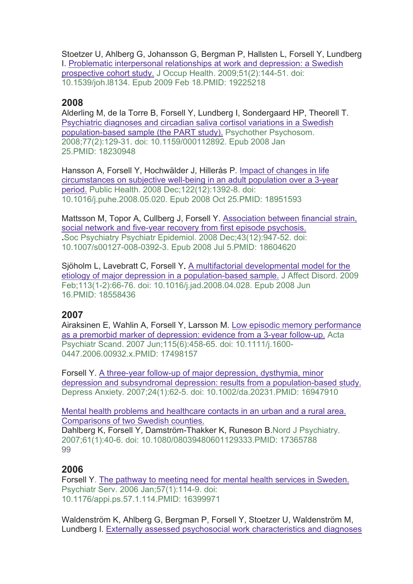Stoetzer U, Ahlberg G, Johansson G, Bergman P, Hallsten L, Forsell Y, Lundberg I. [Problematic interpersonal relationships at work and depression: a Swedish](https://pubmed-ncbi-nlm-nih-gov.proxy.kib.ki.se/19225218/)  [prospective cohort study.](https://pubmed-ncbi-nlm-nih-gov.proxy.kib.ki.se/19225218/) J Occup Health. 2009;51(2):144-51. doi: 10.1539/joh.l8134. Epub 2009 Feb 18.PMID: 19225218

#### **2008**

Alderling M, de la Torre B, Forsell Y, Lundberg I, Sondergaard HP, Theorell T. [Psychiatric diagnoses and circadian saliva cortisol variations in a Swedish](https://pubmed-ncbi-nlm-nih-gov.proxy.kib.ki.se/18230948/)  [population-based sample \(the PART study\).](https://pubmed-ncbi-nlm-nih-gov.proxy.kib.ki.se/18230948/) Psychother Psychosom. 2008;77(2):129-31. doi: 10.1159/000112892. Epub 2008 Jan 25.PMID: 18230948

Hansson A, Forsell Y, Hochwälder J, Hillerås P. [Impact of changes in life](https://pubmed-ncbi-nlm-nih-gov.proxy.kib.ki.se/18951593/)  [circumstances on subjective well-being in an adult population over a 3-year](https://pubmed-ncbi-nlm-nih-gov.proxy.kib.ki.se/18951593/)  [period.](https://pubmed-ncbi-nlm-nih-gov.proxy.kib.ki.se/18951593/) Public Health. 2008 Dec;122(12):1392-8. doi: 10.1016/j.puhe.2008.05.020. Epub 2008 Oct 25.PMID: 18951593

Mattsson M, Topor A, Cullberg J, Forsell Y. [Association between financial strain,](https://pubmed-ncbi-nlm-nih-gov.proxy.kib.ki.se/18604620/)  [social network and five-year recovery from first episode psychosis.](https://pubmed-ncbi-nlm-nih-gov.proxy.kib.ki.se/18604620/) **.**Soc Psychiatry Psychiatr Epidemiol. 2008 Dec;43(12):947-52. doi: 10.1007/s00127-008-0392-3. Epub 2008 Jul 5.PMID: 18604620

Sjöholm L, Lavebratt C, Forsell Y**.** [A multifactorial developmental model for the](https://pubmed-ncbi-nlm-nih-gov.proxy.kib.ki.se/18558436/)  [etiology of major depression in a population-based sample.](https://pubmed-ncbi-nlm-nih-gov.proxy.kib.ki.se/18558436/) J Affect Disord. 2009 Feb;113(1-2):66-76. doi: 10.1016/j.jad.2008.04.028. Epub 2008 Jun 16.PMID: 18558436

### **2007**

Airaksinen E, Wahlin A, Forsell Y, Larsson M. [Low episodic memory performance](https://pubmed-ncbi-nlm-nih-gov.proxy.kib.ki.se/17498157/)  [as a premorbid marker of depression: evidence from a 3-year follow-up.](https://pubmed-ncbi-nlm-nih-gov.proxy.kib.ki.se/17498157/) Acta Psychiatr Scand. 2007 Jun;115(6):458-65. doi: 10.1111/j.1600- 0447.2006.00932 x PMID: 17498157

Forsell Y. [A three-year follow-up of major depression, dysthymia, minor](https://pubmed-ncbi-nlm-nih-gov.proxy.kib.ki.se/16947910/)  [depression and subsyndromal depression: results from a population-based study.](https://pubmed-ncbi-nlm-nih-gov.proxy.kib.ki.se/16947910/) Depress Anxiety. 2007;24(1):62-5. doi: 10.1002/da.20231.PMID: 16947910

[Mental health problems and healthcare contacts in an urban and a rural area.](https://pubmed-ncbi-nlm-nih-gov.proxy.kib.ki.se/17365788/)  [Comparisons of two Swedish counties.](https://pubmed-ncbi-nlm-nih-gov.proxy.kib.ki.se/17365788/)

Dahlberg K, Forsell Y, Damström-Thakker K, Runeson B.Nord J Psychiatry. 2007;61(1):40-6. doi: 10.1080/08039480601129333.PMID: 17365788 99

### **2006**

Forsell Y. [The pathway to meeting need for mental health services in Sweden.](https://pubmed-ncbi-nlm-nih-gov.proxy.kib.ki.se/16399971/) Psychiatr Serv. 2006 Jan;57(1):114-9. doi: 10.1176/appi.ps.57.1.114.PMID: 16399971

Waldenström K, Ahlberg G, Bergman P, Forsell Y, Stoetzer U, Waldenström M, Lundberg I. [Externally assessed psychosocial work characteristics and diagnoses](https://pubmed-ncbi-nlm-nih-gov.proxy.kib.ki.se/18216127/)